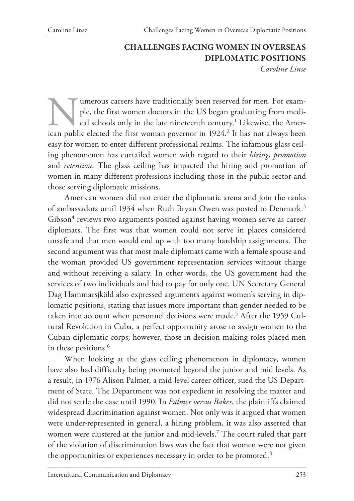#### **CHALLENGES FACING WOMEN IN OVERSEAS DIPLOMATIC POSITIONS** *Caroline Linse*

Immerous careers have traditionally been reserved for men. For example, the first women doctors in the US began graduating from medical schools only in the late nineteenth century.<sup>1</sup> Likewise, the American public elected ple, the first women doctors in the US began graduating from medical schools only in the late nineteenth century.<sup>1</sup> Likewise, the American public elected the first woman governor in 1924.<sup>2</sup> It has not always been easy for women to enter different professional realms. The infamous glass ceiling phenomenon has curtailed women with regard to their *hiring*, *promotion* and *retention*. The glass ceiling has impacted the hiring and promotion of women in many different professions including those in the public sector and those serving diplomatic missions.

American women did not enter the diplomatic arena and join the ranks of ambassadors until 1934 when Ruth Bryan Owen was posted to Denmark.<sup>3</sup> Gibson<sup>4</sup> reviews two arguments posited against having women serve as career diplomats. The first was that women could not serve in places considered unsafe and that men would end up with too many hardship assignments. The second argument was that most male diplomats came with a female spouse and the woman provided US government representation services without charge and without receiving a salary. In other words, the US government had the services of two individuals and had to pay for only one. UN Secretary General Dag Hammarsjköld also expressed arguments against women's serving in diplomatic positions, stating that issues more important than gender needed to be taken into account when personnel decisions were made.<sup>5</sup> After the 1959 Cultural Revolution in Cuba, a perfect opportunity arose to assign women to the Cuban diplomatic corps; however, those in decision-making roles placed men in these positions.<sup>6</sup>

When looking at the glass ceiling phenomenon in diplomacy, women have also had difficulty being promoted beyond the junior and mid levels. As a result, in 1976 Alison Palmer, a mid-level career officer, sued the US Department of State. The Department was not expedient in resolving the matter and did not settle the case until 1990. In *Palmer versus Baker*, the plaintiffs claimed widespread discrimination against women. Not only was it argued that women were under-represented in general, a hiring problem, it was also asserted that women were clustered at the junior and mid-levels.7 The court ruled that part of the violation of discrimination laws was the fact that women were not given the opportunities or experiences necessary in order to be promoted.<sup>8</sup>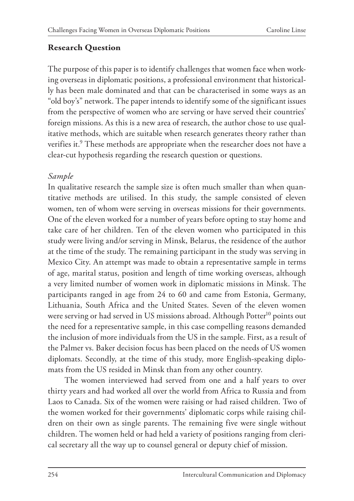## **Research Question**

The purpose of this paper is to identify challenges that women face when working overseas in diplomatic positions, a professional environment that historically has been male dominated and that can be characterised in some ways as an "old boy's" network. The paper intends to identify some of the significant issues from the perspective of women who are serving or have served their countries' foreign missions. As this is a new area of research, the author chose to use qualitative methods, which are suitable when research generates theory rather than verifies it.9 These methods are appropriate when the researcher does not have a clear-cut hypothesis regarding the research question or questions.

## *Sample*

In qualitative research the sample size is often much smaller than when quantitative methods are utilised. In this study, the sample consisted of eleven women, ten of whom were serving in overseas missions for their governments. One of the eleven worked for a number of years before opting to stay home and take care of her children. Ten of the eleven women who participated in this study were living and/or serving in Minsk, Belarus, the residence of the author at the time of the study. The remaining participant in the study was serving in Mexico City. An attempt was made to obtain a representative sample in terms of age, marital status, position and length of time working overseas, although a very limited number of women work in diplomatic missions in Minsk. The participants ranged in age from 24 to 60 and came from Estonia, Germany, Lithuania, South Africa and the United States. Seven of the eleven women were serving or had served in US missions abroad. Although Potter<sup>10</sup> points out the need for a representative sample, in this case compelling reasons demanded the inclusion of more individuals from the US in the sample. First, as a result of the Palmer vs. Baker decision focus has been placed on the needs of US women diplomats. Secondly, at the time of this study, more English-speaking diplomats from the US resided in Minsk than from any other country.

The women interviewed had served from one and a half years to over thirty years and had worked all over the world from Africa to Russia and from Laos to Canada. Six of the women were raising or had raised children. Two of the women worked for their governments' diplomatic corps while raising children on their own as single parents. The remaining five were single without children. The women held or had held a variety of positions ranging from clerical secretary all the way up to counsel general or deputy chief of mission.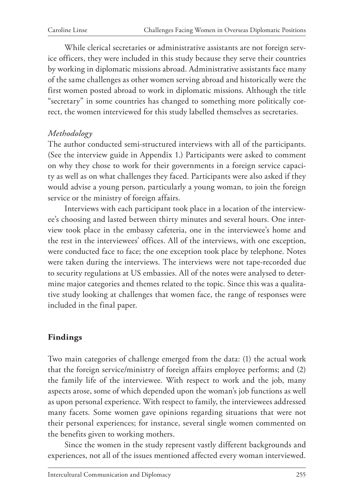While clerical secretaries or administrative assistants are not foreign service officers, they were included in this study because they serve their countries by working in diplomatic missions abroad. Administrative assistants face many of the same challenges as other women serving abroad and historically were the first women posted abroad to work in diplomatic missions. Although the title "secretary" in some countries has changed to something more politically correct, the women interviewed for this study labelled themselves as secretaries.

## *Methodology*

The author conducted semi-structured interviews with all of the participants. (See the interview guide in Appendix 1.) Participants were asked to comment on why they chose to work for their governments in a foreign service capacity as well as on what challenges they faced. Participants were also asked if they would advise a young person, particularly a young woman, to join the foreign service or the ministry of foreign affairs.

Interviews with each participant took place in a location of the interviewee's choosing and lasted between thirty minutes and several hours. One interview took place in the embassy cafeteria, one in the interviewee's home and the rest in the interviewees' offices. All of the interviews, with one exception, were conducted face to face; the one exception took place by telephone. Notes were taken during the interviews. The interviews were not tape-recorded due to security regulations at US embassies. All of the notes were analysed to determine major categories and themes related to the topic. Since this was a qualitative study looking at challenges that women face, the range of responses were included in the final paper.

## **Findings**

Two main categories of challenge emerged from the data: (1) the actual work that the foreign service/ministry of foreign affairs employee performs; and (2) the family life of the interviewee. With respect to work and the job, many aspects arose, some of which depended upon the woman's job functions as well as upon personal experience. With respect to family, the interviewees addressed many facets. Some women gave opinions regarding situations that were not their personal experiences; for instance, several single women commented on the benefits given to working mothers.

Since the women in the study represent vastly different backgrounds and experiences, not all of the issues mentioned affected every woman interviewed.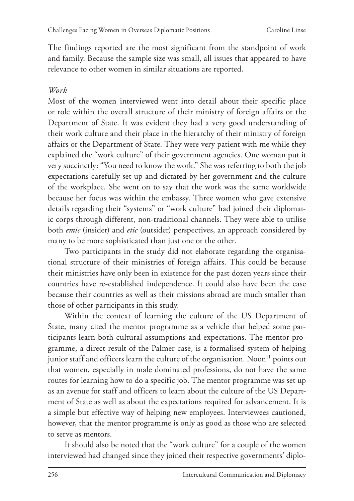The findings reported are the most significant from the standpoint of work and family. Because the sample size was small, all issues that appeared to have relevance to other women in similar situations are reported.

#### *Work*

Most of the women interviewed went into detail about their specific place or role within the overall structure of their ministry of foreign affairs or the Department of State. It was evident they had a very good understanding of their work culture and their place in the hierarchy of their ministry of foreign affairs or the Department of State. They were very patient with me while they explained the "work culture" of their government agencies. One woman put it very succinctly: "You need to know the work." She was referring to both the job expectations carefully set up and dictated by her government and the culture of the workplace. She went on to say that the work was the same worldwide because her focus was within the embassy. Three women who gave extensive details regarding their "systems" or "work culture" had joined their diplomatic corps through different, non-traditional channels. They were able to utilise both *emic* (insider) and *etic* (outsider) perspectives, an approach considered by many to be more sophisticated than just one or the other.

Two participants in the study did not elaborate regarding the organisational structure of their ministries of foreign affairs. This could be because their ministries have only been in existence for the past dozen years since their countries have re-established independence. It could also have been the case because their countries as well as their missions abroad are much smaller than those of other participants in this study.

Within the context of learning the culture of the US Department of State, many cited the mentor programme as a vehicle that helped some participants learn both cultural assumptions and expectations. The mentor programme, a direct result of the Palmer case, is a formalised system of helping junior staff and officers learn the culture of the organisation. Noon<sup>11</sup> points out that women, especially in male dominated professions, do not have the same routes for learning how to do a specific job. The mentor programme was set up as an avenue for staff and officers to learn about the culture of the US Department of State as well as about the expectations required for advancement. It is a simple but effective way of helping new employees. Interviewees cautioned, however, that the mentor programme is only as good as those who are selected to serve as mentors.

It should also be noted that the "work culture" for a couple of the women interviewed had changed since they joined their respective governments' diplo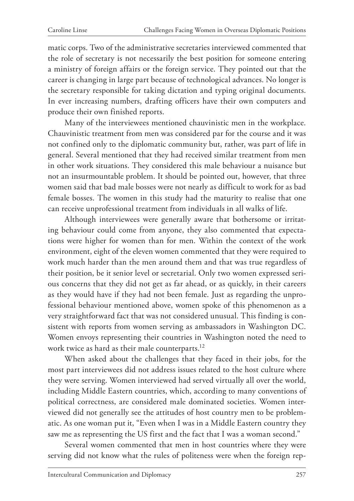matic corps. Two of the administrative secretaries interviewed commented that the role of secretary is not necessarily the best position for someone entering a ministry of foreign affairs or the foreign service. They pointed out that the career is changing in large part because of technological advances. No longer is the secretary responsible for taking dictation and typing original documents. In ever increasing numbers, drafting officers have their own computers and produce their own finished reports.

Many of the interviewees mentioned chauvinistic men in the workplace. Chauvinistic treatment from men was considered par for the course and it was not confined only to the diplomatic community but, rather, was part of life in general. Several mentioned that they had received similar treatment from men in other work situations. They considered this male behaviour a nuisance but not an insurmountable problem. It should be pointed out, however, that three women said that bad male bosses were not nearly as difficult to work for as bad female bosses. The women in this study had the maturity to realise that one can receive unprofessional treatment from individuals in all walks of life.

Although interviewees were generally aware that bothersome or irritating behaviour could come from anyone, they also commented that expectations were higher for women than for men. Within the context of the work environment, eight of the eleven women commented that they were required to work much harder than the men around them and that was true regardless of their position, be it senior level or secretarial. Only two women expressed serious concerns that they did not get as far ahead, or as quickly, in their careers as they would have if they had not been female. Just as regarding the unprofessional behaviour mentioned above, women spoke of this phenomenon as a very straightforward fact that was not considered unusual. This finding is consistent with reports from women serving as ambassadors in Washington DC. Women envoys representing their countries in Washington noted the need to work twice as hard as their male counterparts.<sup>12</sup>

When asked about the challenges that they faced in their jobs, for the most part interviewees did not address issues related to the host culture where they were serving. Women interviewed had served virtually all over the world, including Middle Eastern countries, which, according to many conventions of political correctness, are considered male dominated societies. Women interviewed did not generally see the attitudes of host country men to be problematic. As one woman put it, "Even when I was in a Middle Eastern country they saw me as representing the US first and the fact that I was a woman second."

Several women commented that men in host countries where they were serving did not know what the rules of politeness were when the foreign rep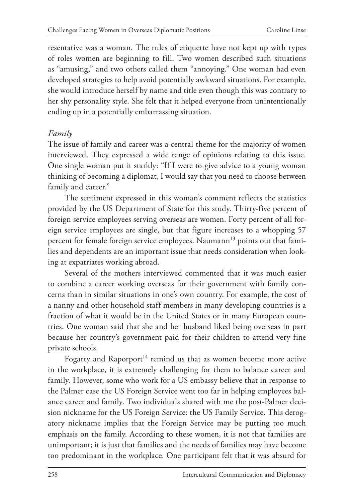resentative was a woman. The rules of etiquette have not kept up with types of roles women are beginning to fill. Two women described such situations as "amusing," and two others called them "annoying." One woman had even developed strategies to help avoid potentially awkward situations. For example, she would introduce herself by name and title even though this was contrary to her shy personality style. She felt that it helped everyone from unintentionally ending up in a potentially embarrassing situation.

## *Family*

The issue of family and career was a central theme for the majority of women interviewed. They expressed a wide range of opinions relating to this issue. One single woman put it starkly: "If I were to give advice to a young woman thinking of becoming a diplomat, I would say that you need to choose between family and career."

The sentiment expressed in this woman's comment reflects the statistics provided by the US Department of State for this study. Thirty-five percent of foreign service employees serving overseas are women. Forty percent of all foreign service employees are single, but that figure increases to a whopping 57 percent for female foreign service employees. Naumann<sup>13</sup> points out that families and dependents are an important issue that needs consideration when looking at expatriates working abroad.

Several of the mothers interviewed commented that it was much easier to combine a career working overseas for their government with family concerns than in similar situations in one's own country. For example, the cost of a nanny and other household staff members in many developing countries is a fraction of what it would be in the United States or in many European countries. One woman said that she and her husband liked being overseas in part because her country's government paid for their children to attend very fine private schools.

Fogarty and Raporport<sup>14</sup> remind us that as women become more active in the workplace, it is extremely challenging for them to balance career and family. However, some who work for a US embassy believe that in response to the Palmer case the US Foreign Service went too far in helping employees balance career and family. Two individuals shared with me the post-Palmer decision nickname for the US Foreign Service: the US Family Service. This derogatory nickname implies that the Foreign Service may be putting too much emphasis on the family. According to these women, it is not that families are unimportant; it is just that families and the needs of families may have become too predominant in the workplace. One participant felt that it was absurd for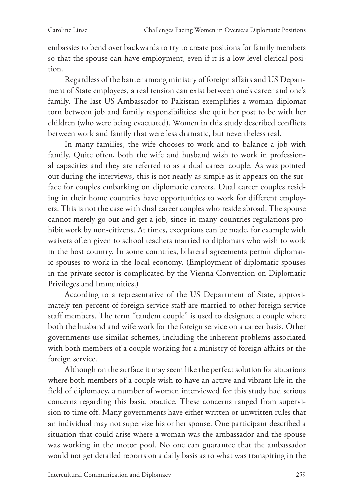embassies to bend over backwards to try to create positions for family members so that the spouse can have employment, even if it is a low level clerical position.

Regardless of the banter among ministry of foreign affairs and US Department of State employees, a real tension can exist between one's career and one's family. The last US Ambassador to Pakistan exemplifies a woman diplomat torn between job and family responsibilities; she quit her post to be with her children (who were being evacuated). Women in this study described conflicts between work and family that were less dramatic, but nevertheless real.

In many families, the wife chooses to work and to balance a job with family. Quite often, both the wife and husband wish to work in professional capacities and they are referred to as a dual career couple. As was pointed out during the interviews, this is not nearly as simple as it appears on the surface for couples embarking on diplomatic careers. Dual career couples residing in their home countries have opportunities to work for different employers. This is not the case with dual career couples who reside abroad. The spouse cannot merely go out and get a job, since in many countries regulations prohibit work by non-citizens. At times, exceptions can be made, for example with waivers often given to school teachers married to diplomats who wish to work in the host country. In some countries, bilateral agreements permit diplomatic spouses to work in the local economy. (Employment of diplomatic spouses in the private sector is complicated by the Vienna Convention on Diplomatic Privileges and Immunities.)

According to a representative of the US Department of State, approximately ten percent of foreign service staff are married to other foreign service staff members. The term "tandem couple" is used to designate a couple where both the husband and wife work for the foreign service on a career basis. Other governments use similar schemes, including the inherent problems associated with both members of a couple working for a ministry of foreign affairs or the foreign service.

Although on the surface it may seem like the perfect solution for situations where both members of a couple wish to have an active and vibrant life in the field of diplomacy, a number of women interviewed for this study had serious concerns regarding this basic practice. These concerns ranged from supervision to time off. Many governments have either written or unwritten rules that an individual may not supervise his or her spouse. One participant described a situation that could arise where a woman was the ambassador and the spouse was working in the motor pool. No one can guarantee that the ambassador would not get detailed reports on a daily basis as to what was transpiring in the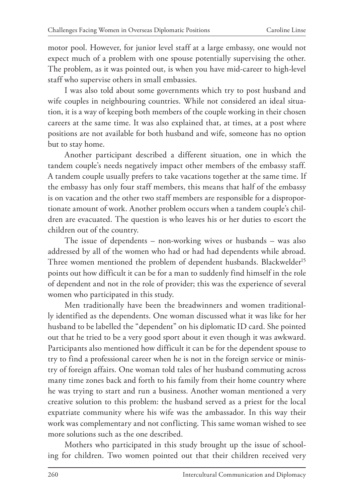motor pool. However, for junior level staff at a large embassy, one would not expect much of a problem with one spouse potentially supervising the other. The problem, as it was pointed out, is when you have mid-career to high-level staff who supervise others in small embassies.

I was also told about some governments which try to post husband and wife couples in neighbouring countries. While not considered an ideal situation, it is a way of keeping both members of the couple working in their chosen careers at the same time. It was also explained that, at times, at a post where positions are not available for both husband and wife, someone has no option but to stay home.

Another participant described a different situation, one in which the tandem couple's needs negatively impact other members of the embassy staff. A tandem couple usually prefers to take vacations together at the same time. If the embassy has only four staff members, this means that half of the embassy is on vacation and the other two staff members are responsible for a disproportionate amount of work. Another problem occurs when a tandem couple's children are evacuated. The question is who leaves his or her duties to escort the children out of the country.

The issue of dependents – non-working wives or husbands – was also addressed by all of the women who had or had had dependents while abroad. Three women mentioned the problem of dependent husbands. Blackwelder<sup>15</sup> points out how difficult it can be for a man to suddenly find himself in the role of dependent and not in the role of provider; this was the experience of several women who participated in this study.

Men traditionally have been the breadwinners and women traditionally identified as the dependents. One woman discussed what it was like for her husband to be labelled the "dependent" on his diplomatic ID card. She pointed out that he tried to be a very good sport about it even though it was awkward. Participants also mentioned how difficult it can be for the dependent spouse to try to find a professional career when he is not in the foreign service or ministry of foreign affairs. One woman told tales of her husband commuting across many time zones back and forth to his family from their home country where he was trying to start and run a business. Another woman mentioned a very creative solution to this problem: the husband served as a priest for the local expatriate community where his wife was the ambassador. In this way their work was complementary and not conflicting. This same woman wished to see more solutions such as the one described.

Mothers who participated in this study brought up the issue of schooling for children. Two women pointed out that their children received very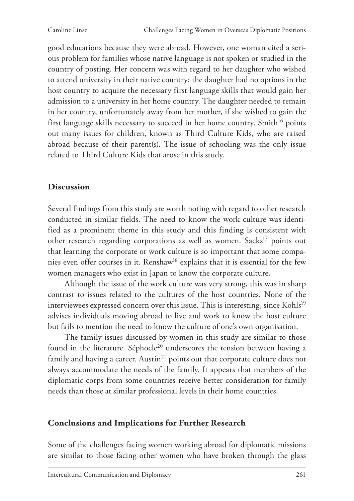good educations because they were abroad. However, one woman cited a serious problem for families whose native language is not spoken or studied in the country of posting. Her concern was with regard to her daughter who wished to attend university in their native country; the daughter had no options in the host country to acquire the necessary first language skills that would gain her admission to a university in her home country. The daughter needed to remain in her country, unfortunately away from her mother, if she wished to gain the first language skills necessary to succeed in her home country. Smith<sup>16</sup> points out many issues for children, known as Third Culture Kids, who are raised abroad because of their parent(s). The issue of schooling was the only issue related to Third Culture Kids that arose in this study.

## **Discussion**

Several findings from this study are worth noting with regard to other research conducted in similar fields. The need to know the work culture was identified as a prominent theme in this study and this finding is consistent with other research regarding corporations as well as women. Sacks<sup>17</sup> points out that learning the corporate or work culture is so important that some companies even offer courses in it. Renshaw<sup>18</sup> explains that it is essential for the few women managers who exist in Japan to know the corporate culture.

Although the issue of the work culture was very strong, this was in sharp contrast to issues related to the cultures of the host countries. None of the interviewees expressed concern over this issue. This is interesting, since Kohls<sup>19</sup> advises individuals moving abroad to live and work to know the host culture but fails to mention the need to know the culture of one's own organisation.

The family issues discussed by women in this study are similar to those found in the literature. Séphocle<sup>20</sup> underscores the tension between having a family and having a career. Austin $^{21}$  points out that corporate culture does not always accommodate the needs of the family. It appears that members of the diplomatic corps from some countries receive better consideration for family needs than those at similar professional levels in their home countries.

#### **Conclusions and Implications for Further Research**

Some of the challenges facing women working abroad for diplomatic missions are similar to those facing other women who have broken through the glass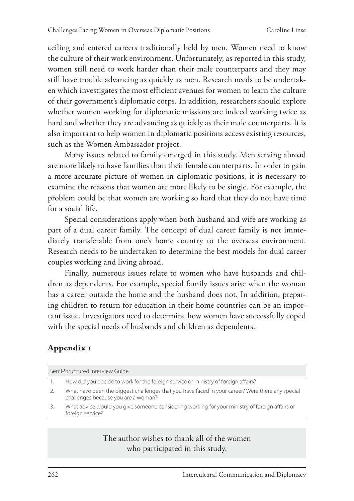ceiling and entered careers traditionally held by men. Women need to know the culture of their work environment. Unfortunately, as reported in this study, women still need to work harder than their male counterparts and they may still have trouble advancing as quickly as men. Research needs to be undertaken which investigates the most efficient avenues for women to learn the culture of their government's diplomatic corps. In addition, researchers should explore whether women working for diplomatic missions are indeed working twice as hard and whether they are advancing as quickly as their male counterparts. It is also important to help women in diplomatic positions access existing resources, such as the Women Ambassador project.

Many issues related to family emerged in this study. Men serving abroad are more likely to have families than their female counterparts. In order to gain a more accurate picture of women in diplomatic positions, it is necessary to examine the reasons that women are more likely to be single. For example, the problem could be that women are working so hard that they do not have time for a social life.

Special considerations apply when both husband and wife are working as part of a dual career family. The concept of dual career family is not immediately transferable from one's home country to the overseas environment. Research needs to be undertaken to determine the best models for dual career couples working and living abroad.

Finally, numerous issues relate to women who have husbands and children as dependents. For example, special family issues arise when the woman has a career outside the home and the husband does not. In addition, preparing children to return for education in their home countries can be an important issue. Investigators need to determine how women have successfully coped with the special needs of husbands and children as dependents.

# **Appendix 1**

| Semi-Structured Interview Guide |                                                                                                                                         |
|---------------------------------|-----------------------------------------------------------------------------------------------------------------------------------------|
|                                 | How did you decide to work for the foreign service or ministry of foreign affairs?                                                      |
| 2.                              | What have been the biggest challenges that you have faced in your career? Were there any special<br>challenges because you are a woman? |
| 3.                              | What advice would you give someone considering working for your ministry of foreign affairs or<br>foreign service?                      |
|                                 |                                                                                                                                         |

The author wishes to thank all of the women who participated in this study.